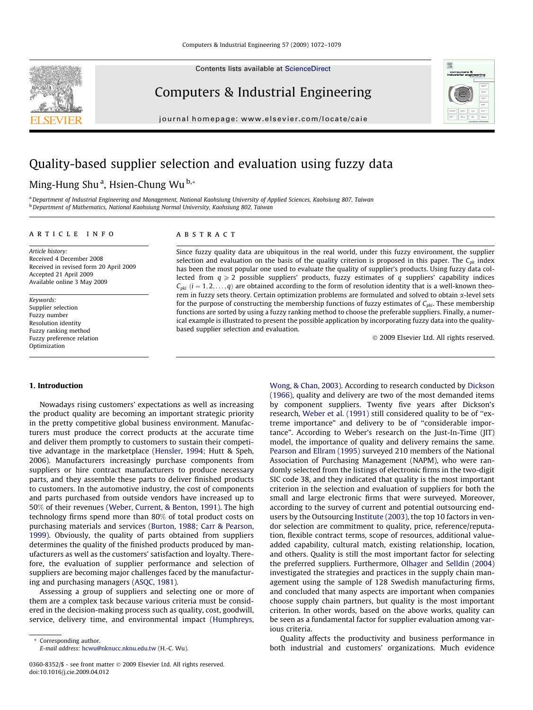Contents lists available at [ScienceDirect](http://www.sciencedirect.com/science/journal/03608352)

Computers & Industrial Engineering

journal homepage: [www.elsevier.com/locate/caie](http://www.elsevier.com/locate/caie)

# Quality-based supplier selection and evaluation using fuzzy data

## Ming-Hung Shu<sup>a</sup>, Hsien-Chung Wu<sup>b,</sup>\*

a Department of Industrial Engineering and Management, National Kaohsiung University of Applied Sciences, Kaohsiung 807, Taiwan b<br>Department of Mathematics, National Kaohsiung Normal University, Kaohsiung 802, Taiwan

### article info

**ABSTRACT** 

Article history: Received 4 December 2008 Received in revised form 20 April 2009 Accepted 21 April 2009 Available online 3 May 2009

Keywords: Supplier selection Fuzzy number Resolution identity Fuzzy ranking method Fuzzy preference relation Optimization

selection and evaluation on the basis of the quality criterion is proposed in this paper. The  $C_{nk}$  index has been the most popular one used to evaluate the quality of supplier's products. Using fuzzy data collected from  $q \ge 2$  possible suppliers' products, fuzzy estimates of q suppliers' capability indices  $C_{nki}$   $(i = 1, 2, \ldots, q)$  are obtained according to the form of resolution identity that is a well-known theorem in fuzzy sets theory. Certain optimization problems are formulated and solved to obtain  $\alpha$ -level sets for the purpose of constructing the membership functions of fuzzy estimates of  $C_{pki}$ . These membership functions are sorted by using a fuzzy ranking method to choose the preferable suppliers. Finally, a numerical example is illustrated to present the possible application by incorporating fuzzy data into the qualitybased supplier selection and evaluation.

Since fuzzy quality data are ubiquitous in the real world, under this fuzzy environment, the supplier

- 2009 Elsevier Ltd. All rights reserved.

#### 1. Introduction

Nowadays rising customers' expectations as well as increasing the product quality are becoming an important strategic priority in the pretty competitive global business environment. Manufacturers must produce the correct products at the accurate time and deliver them promptly to customers to sustain their competitive advantage in the marketplace [\(Hensler, 1994;](#page--1-0) Hutt & Speh, 2006). Manufacturers increasingly purchase components from suppliers or hire contract manufacturers to produce necessary parts, and they assemble these parts to deliver finished products to customers. In the automotive industry, the cost of components and parts purchased from outside vendors have increased up to 50% of their revenues ([Weber, Current, & Benton, 1991](#page--1-0)). The high technology firms spend more than 80% of total product costs on purchasing materials and services ([Burton, 1988; Carr & Pearson,](#page--1-0) [1999\)](#page--1-0). Obviously, the quality of parts obtained from suppliers determines the quality of the finished products produced by manufacturers as well as the customers' satisfaction and loyalty. Therefore, the evaluation of supplier performance and selection of suppliers are becoming major challenges faced by the manufacturing and purchasing managers ([ASQC, 1981\)](#page--1-0).

Assessing a group of suppliers and selecting one or more of them are a complex task because various criteria must be considered in the decision-making process such as quality, cost, goodwill, service, delivery time, and environmental impact ([Humphreys,](#page--1-0)

\* Corresponding author. E-mail address: [hcwu@nknucc.nknu.edu.tw](mailto:hcwu@nknucc.nknu.edu.tw) (H.-C. Wu). [Wong, & Chan, 2003](#page--1-0)). According to research conducted by [Dickson](#page--1-0) [\(1966\),](#page--1-0) quality and delivery are two of the most demanded items by component suppliers. Twenty five years after Dickson's research, [Weber et al. \(1991\)](#page--1-0) still considered quality to be of ''extreme importance" and delivery to be of ''considerable importance". According to Weber's research on the Just-In-Time (JIT) model, the importance of quality and delivery remains the same. [Pearson and Ellram \(1995\)](#page--1-0) surveyed 210 members of the National Association of Purchasing Management (NAPM), who were randomly selected from the listings of electronic firms in the two-digit SIC code 38, and they indicated that quality is the most important criterion in the selection and evaluation of suppliers for both the small and large electronic firms that were surveyed. Moreover, according to the survey of current and potential outsourcing endusers by the Outsourcing [Institute \(2003\),](#page--1-0) the top 10 factors in vendor selection are commitment to quality, price, reference/reputation, flexible contract terms, scope of resources, additional valueadded capability, cultural match, existing relationship, location, and others. Quality is still the most important factor for selecting the preferred suppliers. Furthermore, [Olhager and Selldin \(2004\)](#page--1-0) investigated the strategies and practices in the supply chain management using the sample of 128 Swedish manufacturing firms, and concluded that many aspects are important when companies choose supply chain partners, but quality is the most important criterion. In other words, based on the above works, quality can be seen as a fundamental factor for supplier evaluation among various criteria.

Quality affects the productivity and business performance in both industrial and customers' organizations. Much evidence





<sup>0360-8352/\$ -</sup> see front matter © 2009 Elsevier Ltd. All rights reserved. doi:10.1016/j.cie.2009.04.012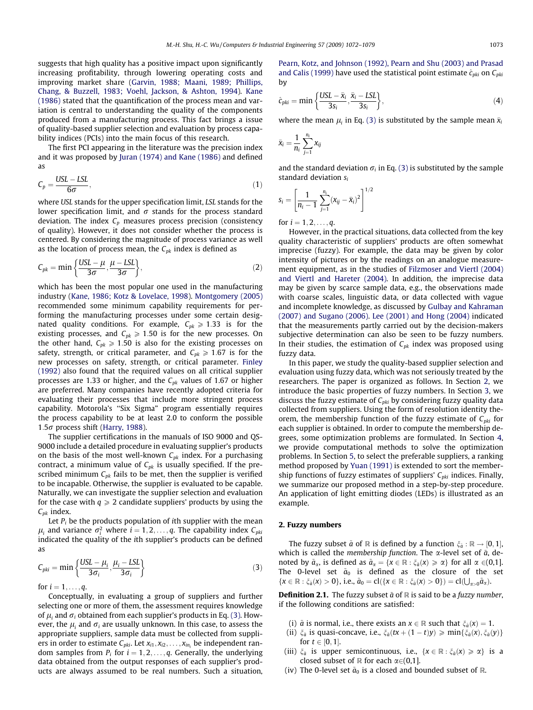suggests that high quality has a positive impact upon significantly increasing profitability, through lowering operating costs and improving market share [\(Garvin, 1988; Maani, 1989; Phillips,](#page--1-0) [Chang, & Buzzell, 1983; Voehl, Jackson, & Ashton, 1994\)](#page--1-0). [Kane](#page--1-0) [\(1986\)](#page--1-0) stated that the quantification of the process mean and variation is central to understanding the quality of the components produced from a manufacturing process. This fact brings a issue of quality-based supplier selection and evaluation by process capability indices (PCIs) into the main focus of this research.

The first PCI appearing in the literature was the precision index and it was proposed by [Juran \(1974\) and Kane \(1986\)](#page--1-0) and defined as

$$
C_p = \frac{USL - LSL}{6\sigma},\tag{1}
$$

where USL stands for the upper specification limit, LSL stands for the lower specification limit, and  $\sigma$  stands for the process standard deviation. The index  $C_p$  measures process precision (consistency of quality). However, it does not consider whether the process is centered. By considering the magnitude of process variance as well as the location of process mean, the  $C_{pk}$  index is defined as

$$
C_{pk} = \min\left\{\frac{\text{USL} - \mu}{3\sigma}, \frac{\mu - \text{LSL}}{3\sigma}\right\},\tag{2}
$$

which has been the most popular one used in the manufacturing industry ([Kane, 1986; Kotz & Lovelace, 1998](#page--1-0)). [Montgomery \(2005\)](#page--1-0) recommended some minimum capability requirements for performing the manufacturing processes under some certain designated quality conditions. For example,  $C_{pk} \ge 1.33$  is for the existing processes, and  $C_{pk} \ge 1.50$  is for the new processes. On the other hand,  $C_{pk} \ge 1.50$  is also for the existing processes on safety, strength, or critical parameter, and  $C_{pk} \ge 1.67$  is for the new processes on safety, strength, or critical parameter. [Finley](#page--1-0) [\(1992\)](#page--1-0) also found that the required values on all critical supplier processes are 1.33 or higher, and the  $C_{pk}$  values of 1.67 or higher are preferred. Many companies have recently adopted criteria for evaluating their processes that include more stringent process capability. Motorola's ''Six Sigma" program essentially requires the process capability to be at least 2.0 to conform the possible  $1.5\sigma$  process shift [\(Harry, 1988\)](#page--1-0).

The supplier certifications in the manuals of ISO 9000 and QS-9000 include a detailed procedure in evaluating supplier's products on the basis of the most well-known  $C_{pk}$  index. For a purchasing contract, a minimum value of  $C_{pk}$  is usually specified. If the prescribed minimum  $C_{pk}$  fails to be met, then the supplier is verified to be incapable. Otherwise, the supplier is evaluated to be capable. Naturally, we can investigate the supplier selection and evaluation for the case with  $q \geq 2$  candidate suppliers' products by using the  $C_{pk}$  index.

Let  $P_i$  be the products population of ith supplier with the mean  $\mu_i$  and variance  $\sigma_i^2$  where  $i = 1, 2, \ldots, q$ . The capability index  $C_{pki}$ indicated the quality of the ith supplier's products can be defined as

$$
C_{pki} = \min\left\{\frac{USL - \mu_i}{3\sigma_i}, \frac{\mu_i - LSL}{3\sigma_i}\right\}
$$
 (3)

for  $i = 1, ..., q$ .

Conceptually, in evaluating a group of suppliers and further selecting one or more of them, the assessment requires knowledge of  $\mu_i$  and  $\sigma_i$  obtained from each supplier's products in Eq. (3). However, the  $\mu_i$  and  $\sigma_i$  are usually unknown. In this case, to assess the appropriate suppliers, sample data must be collected from suppliers in order to estimate  $C_{pki}$ . Let  $x_{i1}, x_{i2}, \ldots, x_{in_i}$  be independent random samples from  $P_i$  for  $i = 1, 2, \ldots, q$ . Generally, the underlying data obtained from the output responses of each supplier's products are always assumed to be real numbers. Such a situation, [Pearn, Kotz, and Johnson \(1992\), Pearn and Shu \(2003\) and Prasad](#page--1-0) [and Calis \(1999\)](#page--1-0) have used the statistical point estimate  $\hat{c}_{nki}$  on  $C_{nki}$ by

$$
\hat{c}_{pki} = \min\left\{\frac{USL - \bar{x}_i}{3s_i}, \frac{\bar{x}_i - LSL}{3s_i}\right\},\tag{4}
$$

where the mean  $\mu_i$  in Eq. (3) is substituted by the sample mean  $\bar{x}_i$ 

$$
\bar{x}_i = \frac{1}{n_i} \sum_{j=1}^{n_i} x_{ij}
$$

and the standard deviation  $\sigma_i$  in Eq. (3) is substituted by the sample standard deviation  $s_i$ 

$$
s_i = \left[\frac{1}{n_i-1}\sum_{j=1}^{n_i}(x_{ij}-\bar{x}_i)^2\right]^{1/2}
$$

for  $i = 1, 2, ..., q$ .

However, in the practical situations, data collected from the key quality characteristic of suppliers' products are often somewhat imprecise (fuzzy). For example, the data may be given by color intensity of pictures or by the readings on an analogue measurement equipment, as in the studies of [Filzmoser and Viertl \(2004\)](#page--1-0) [and Viertl and Hareter \(2004\).](#page--1-0) In addition, the imprecise data may be given by scarce sample data, e.g., the observations made with coarse scales, linguistic data, or data collected with vague and incomplete knowledge, as discussed by [Gulbay and Kahraman](#page--1-0) [\(2007\) and Sugano \(2006\).](#page--1-0) [Lee \(2001\) and Hong \(2004\)](#page--1-0) indicated that the measurements partly carried out by the decision-makers subjective determination can also be seen to be fuzzy numbers. In their studies, the estimation of  $C_{pk}$  index was proposed using fuzzy data.

In this paper, we study the quality-based supplier selection and evaluation using fuzzy data, which was not seriously treated by the researchers. The paper is organized as follows. In Section 2, we introduce the basic properties of fuzzy numbers. In Section [3,](#page--1-0) we discuss the fuzzy estimate of  $C_{pki}$  by considering fuzzy quality data collected from suppliers. Using the form of resolution identity theorem, the membership function of the fuzzy estimate of  $C_{pki}$  for each supplier is obtained. In order to compute the membership degrees, some optimization problems are formulated. In Section [4,](#page--1-0) we provide computational methods to solve the optimization problems. In Section [5](#page--1-0), to select the preferable suppliers, a ranking method proposed by [Yuan \(1991\)](#page--1-0) is extended to sort the membership functions of fuzzy estimates of suppliers'  $C_{nki}$  indices. Finally, we summarize our proposed method in a step-by-step procedure. An application of light emitting diodes (LEDs) is illustrated as an example.

### 2. Fuzzy numbers

The fuzzy subset  $\tilde{a}$  of R is defined by a function  $\xi_{\tilde{a}} : \mathbb{R} \to [0,1],$ which is called the membership function. The  $\alpha$ -level set of  $\tilde{a}$ , denoted by  $\tilde{a}_{\alpha}$ , is defined as  $\tilde{a}_{\alpha} = \{x \in \mathbb{R} : \xi_{\tilde{a}}(x) \ge \alpha\}$  for all  $\alpha \in (0,1]$ . The 0-level set  $\tilde{a}_0$  is defined as the closure of the set  $\{x \in \mathbb{R} : \xi_{\bar{a}}(x) > 0\}$ , i.e.,  $\tilde{a}_0 = \text{cl}(\{x \in \mathbb{R} : \xi_{\bar{a}}(x) > 0\}) = \text{cl}(\bigcup_{x > 0} \tilde{a}_x)$ .

**Definition 2.1.** The fuzzy subset  $\tilde{a}$  of  $\mathbb{R}$  is said to be a fuzzy number, if the following conditions are satisfied:

- (i)  $\tilde{a}$  is normal, i.e., there exists an  $x \in \mathbb{R}$  such that  $\xi_{\tilde{a}}(x) = 1$ .
- (ii)  $\xi_{\tilde{a}}$  is quasi-concave, i.e.,  $\xi_{\tilde{a}}(tx + (1-t)y) \geqslant \min\{\xi_{\tilde{a}}(x), \xi_{\tilde{a}}(y)\}\$ for  $t \in [0, 1]$ .
- (iii)  $\xi_{\bar{a}}$  is upper semicontinuous, i.e.,  $\{x \in \mathbb{R} : \xi_{\bar{a}}(x) \ge \alpha\}$  is a closed subset of  $\mathbb R$  for each  $\alpha \in (0,1]$ .
- (iv) The 0-level set  $\tilde{a}_0$  is a closed and bounded subset of R.